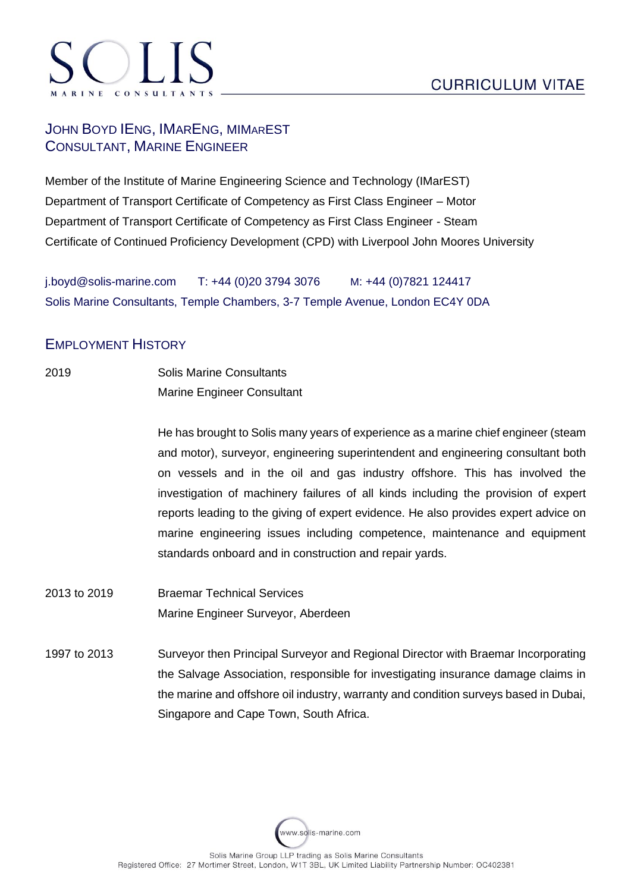## JOHN BOYD IENG, IMARENG, MIMAREST CONSULTANT, MARINE ENGINEER

Member of the Institute of Marine Engineering Science and Technology (IMarEST) Department of Transport Certificate of Competency as First Class Engineer – Motor Department of Transport Certificate of Competency as First Class Engineer - Steam Certificate of Continued Proficiency Development (CPD) with Liverpool John Moores University

j.boyd@solis-marine.com T: +44 (0)20 3794 3076 M: +44 (0)7821 124417 Solis Marine Consultants, Temple Chambers, 3-7 Temple Avenue, London EC4Y 0DA

## EMPLOYMENT HISTORY

2019 Solis Marine Consultants Marine Engineer Consultant

> He has brought to Solis many years of experience as a marine chief engineer (steam and motor), surveyor, engineering superintendent and engineering consultant both on vessels and in the oil and gas industry offshore. This has involved the investigation of machinery failures of all kinds including the provision of expert reports leading to the giving of expert evidence. He also provides expert advice on marine engineering issues including competence, maintenance and equipment standards onboard and in construction and repair yards.

- 2013 to 2019 Braemar Technical Services Marine Engineer Surveyor, Aberdeen
- 1997 to 2013 Surveyor then Principal Surveyor and Regional Director with Braemar Incorporating the Salvage Association, responsible for investigating insurance damage claims in the marine and offshore oil industry, warranty and condition surveys based in Dubai, Singapore and Cape Town, South Africa.